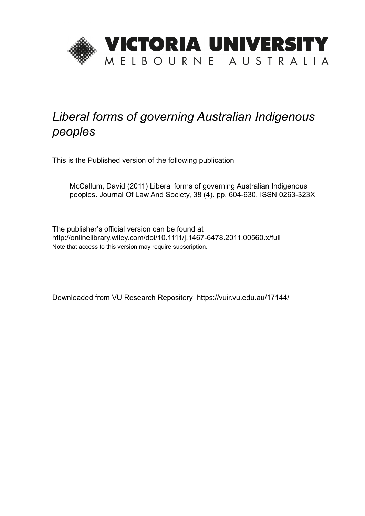

# *Liberal forms of governing Australian Indigenous peoples*

This is the Published version of the following publication

McCallum, David (2011) Liberal forms of governing Australian Indigenous peoples. Journal Of Law And Society, 38 (4). pp. 604-630. ISSN 0263-323X

The publisher's official version can be found at http://onlinelibrary.wiley.com/doi/10.1111/j.1467-6478.2011.00560.x/full Note that access to this version may require subscription.

Downloaded from VU Research Repository https://vuir.vu.edu.au/17144/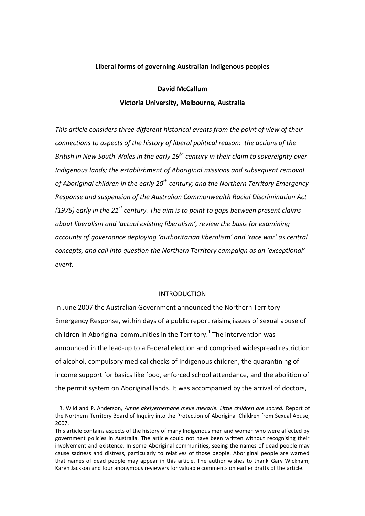## **Liberal forms of governing Australian Indigenous peoples**

**David McCallum Victoria University, Melbourne, Australia**

*This article considers three different historical events from the point of view of their connections to aspects of the history of liberal political reason: the actions of the British in New South Wales in the early 19 th century in their claim to sovereignty over Indigenous lands; the establishment of Aboriginal missions and subsequent removal of Aboriginal children in the early 20th century; and the Northern Territory Emergency Response and suspension of the Australian Commonwealth Racial Discrimination Act (1975) early in the 21st century. The aim is to point to gaps between present claims about liberalism and 'actual existing liberalism', review the basis for examining accounts of governance deploying 'authoritarian liberalism' and 'race war' as central concepts, and call into question the Northern Territory campaign as an 'exceptional' event.*

#### INTRODUCTION

In June 2007 the Australian Government announced the Northern Territory Emergency Response, within days of a public report raising issues of sexual abuse of children in Aboriginal communities in the Territory.<sup>1</sup> The intervention was announced in the lead-up to a Federal election and comprised widespread restriction of alcohol, compulsory medical checks of Indigenous children, the quarantining of income support for basics like food, enforced school attendance, and the abolition of the permit system on Aboriginal lands. It was accompanied by the arrival of doctors,

 1 R. Wild and P. Anderson, *Ampe akelyernemane meke mekarle. Little children are sacred.* Report of the Northern Territory Board of Inquiry into the Protection of Aboriginal Children from Sexual Abuse, 2007.

This article contains aspects of the history of many Indigenous men and women who were affected by government policies in Australia. The article could not have been written without recognising their involvement and existence. In some Aboriginal communities, seeing the names of dead people may cause sadness and distress, particularly to relatives of those people. Aboriginal people are warned that names of dead people may appear in this article. The author wishes to thank Gary Wickham, Karen Jackson and four anonymous reviewers for valuable comments on earlier drafts of the article.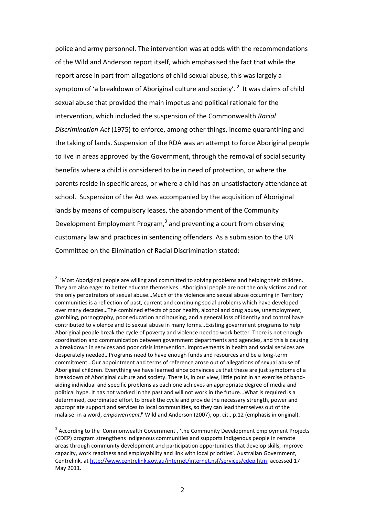police and army personnel. The intervention was at odds with the recommendations of the Wild and Anderson report itself, which emphasised the fact that while the report arose in part from allegations of child sexual abuse, this was largely a symptom of 'a breakdown of Aboriginal culture and society'.  $2$  It was claims of child sexual abuse that provided the main impetus and political rationale for the intervention, which included the suspension of the Commonwealth *Racial Discrimination Act* (1975) to enforce, among other things, income quarantining and the taking of lands. Suspension of the RDA was an attempt to force Aboriginal people to live in areas approved by the Government, through the removal of social security benefits where a child is considered to be in need of protection, or where the parents reside in specific areas, or where a child has an unsatisfactory attendance at school. Suspension of the Act was accompanied by the acquisition of Aboriginal lands by means of compulsory leases, the abandonment of the Community Development Employment Program,<sup>3</sup> and preventing a court from observing customary law and practices in sentencing offenders. As a submission to the UN Committee on the Elimination of Racial Discrimination stated:

 $2$  'Most Aboriginal people are willing and committed to solving problems and helping their children. They are also eager to better educate themselves…Aboriginal people are not the only victims and not the only perpetrators of sexual abuse…Much of the violence and sexual abuse occurring in Territory communities is a reflection of past, current and continuing social problems which have developed over many decades…The combined effects of poor health, alcohol and drug abuse, unemployment, gambling, pornography, poor education and housing, and a general loss of identity and control have contributed to violence and to sexual abuse in many forms…Existing government programs to help Aboriginal people break the cycle of poverty and violence need to work better. There is not enough coordination and communication between government departments and agencies, and this is causing a breakdown in services and poor crisis intervention. Improvements in health and social services are desperately needed…Programs need to have enough funds and resources and be a long-term commitment…Our appointment and terms of reference arose out of allegations of sexual abuse of Aboriginal children. Everything we have learned since convinces us that these are just symptoms of a breakdown of Aboriginal culture and society. There is, in our view, little point in an exercise of bandaiding individual and specific problems as each one achieves an appropriate degree of media and political hype. It has not worked in the past and will not work in the future...What is required is a determined, coordinated effort to break the cycle and provide the necessary strength, power and appropriate support and services to local communities, so they can lead themselves out of the malaise: in a word, *empowerment!*' Wild and Anderson (2007), op. cit., p.12 (emphasis in original).

 $3$  According to the Commonwealth Government, 'the Community Development Employment Projects (CDEP) program strengthens Indigenous communities and supports Indigenous people in remote areas through community development and participation opportunities that develop skills, improve capacity, work readiness and employability and link with local priorities'. Australian Government, Centrelink, at [http://www.centrelink.gov.au/internet/internet.nsf/services/cdep.htm,](http://www.centrelink.gov.au/internet/internet.nsf/services/cdep.htm) accessed 17 May 2011.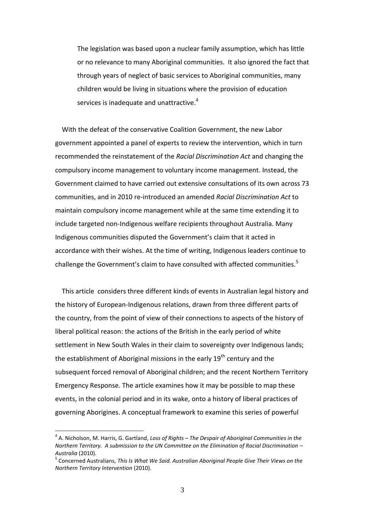The legislation was based upon a nuclear family assumption, which has little or no relevance to many Aboriginal communities. It also ignored the fact that through years of neglect of basic services to Aboriginal communities, many children would be living in situations where the provision of education services is inadequate and unattractive.<sup>4</sup>

 With the defeat of the conservative Coalition Government, the new Labor government appointed a panel of experts to review the intervention, which in turn recommended the reinstatement of the *Racial Discrimination Act* and changing the compulsory income management to voluntary income management. Instead, the Government claimed to have carried out extensive consultations of its own across 73 communities, and in 2010 re-introduced an amended *Racial Discrimination Act* to maintain compulsory income management while at the same time extending it to include targeted non-Indigenous welfare recipients throughout Australia. Many Indigenous communities disputed the Government's claim that it acted in accordance with their wishes. At the time of writing, Indigenous leaders continue to challenge the Government's claim to have consulted with affected communities.<sup>5</sup>

 This article considers three different kinds of events in Australian legal history and the history of European-Indigenous relations, drawn from three different parts of the country, from the point of view of their connections to aspects of the history of liberal political reason: the actions of the British in the early period of white settlement in New South Wales in their claim to sovereignty over Indigenous lands; the establishment of Aboriginal missions in the early 19<sup>th</sup> century and the subsequent forced removal of Aboriginal children; and the recent Northern Territory Emergency Response. The article examines how it may be possible to map these events, in the colonial period and in its wake, onto a history of liberal practices of governing Aborigines. A conceptual framework to examine this series of powerful

<sup>4</sup> A. Nicholson, M. Harris, G. Gartland, *Loss of Rights – The Despair of Aboriginal Communities in the Northern Territory. A submission to the UN Committee on the Elimination of Racial Discrimination – Australia* (2010).

<sup>5</sup> Concerned Australians, *This Is What We Said. Australian Aboriginal People Give Their Views on the Northern Territory Intervention* (2010).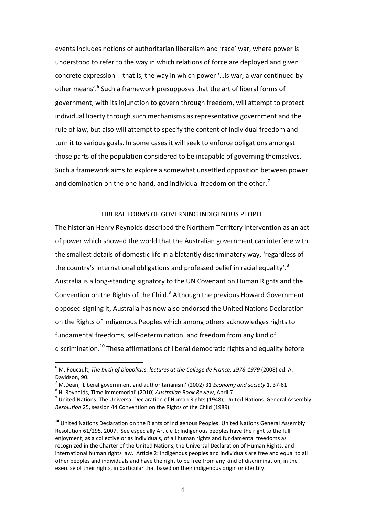events includes notions of authoritarian liberalism and 'race' war, where power is understood to refer to the way in which relations of force are deployed and given concrete expression - that is, the way in which power '…is war, a war continued by other means'.<sup>6</sup> Such a framework presupposes that the art of liberal forms of government, with its injunction to govern through freedom, will attempt to protect individual liberty through such mechanisms as representative government and the rule of law, but also will attempt to specify the content of individual freedom and turn it to various goals. In some cases it will seek to enforce obligations amongst those parts of the population considered to be incapable of governing themselves. Such a framework aims to explore a somewhat unsettled opposition between power and domination on the one hand, and individual freedom on the other.<sup>7</sup>

## LIBERAL FORMS OF GOVERNING INDIGENOUS PEOPLE

The historian Henry Reynolds described the Northern Territory intervention as an act of power which showed the world that the Australian government can interfere with the smallest details of domestic life in a blatantly discriminatory way, 'regardless of the country's international obligations and professed belief in racial equality'.<sup>8</sup> Australia is a long-standing signatory to the UN Covenant on Human Rights and the Convention on the Rights of the Child.<sup>9</sup> Although the previous Howard Government opposed signing it, Australia has now also endorsed the United Nations Declaration on the Rights of Indigenous Peoples which among others acknowledges rights to fundamental freedoms, self-determination, and freedom from any kind of discrimination.<sup>10</sup> These affirmations of liberal democratic rights and equality before

<sup>6</sup> M. Foucault, *The birth of biopolitics: lectures at the College de France, 1978-1979* (2008) ed. A. Davidson, 90.

<sup>7</sup> M.Dean, 'Liberal government and authoritarianism' (2002) 31 *Economy and society* 1, 37-61

<sup>8</sup> H. Reynolds,'Time immemorial' (2010) *Australian Book Review*, April 7.

<sup>&</sup>lt;sup>9</sup> United Nations. The Universal Declaration of Human Rights (1948); [United Nations. General Assembly](http://en.wikipedia.org/wiki/United_Nations_General_Assembly) *Resolution* 25, [session 44 Convention on the Rights of the Child](http://www.undemocracy.com/A-RES-44-25) (1989).

**<sup>10</sup>** United Nations Declaration on the Rights of Indigenous Peoples. United Nations General Assembly Resolution 61/295, 2007**.** See especially Article 1: Indigenous peoples have the right to the full enjoyment, as a collective or as individuals, of all human rights and fundamental freedoms as recognized in the Charter of the United Nations, the Universal Declaration of Human Rights, and international human rights law. Article 2: Indigenous peoples and individuals are free and equal to all other peoples and individuals and have the right to be free from any kind of discrimination, in the exercise of their rights, in particular that based on their indigenous origin or identity.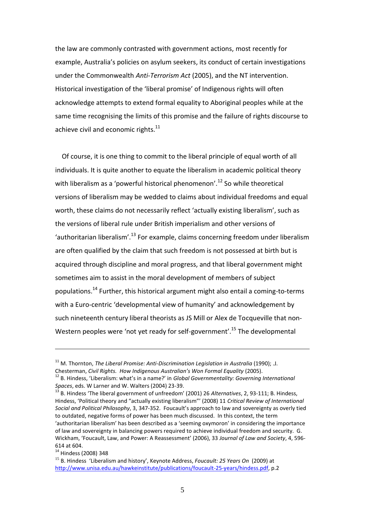the law are commonly contrasted with government actions, most recently for example, Australia's policies on asylum seekers, its conduct of certain investigations under the Commonwealth *Anti-Terrorism Act* (2005), and the NT intervention. Historical investigation of the 'liberal promise' of Indigenous rights will often acknowledge attempts to extend formal equality to Aboriginal peoples while at the same time recognising the limits of this promise and the failure of rights discourse to achieve civil and economic rights. $^{11}$ 

 Of course, it is one thing to commit to the liberal principle of equal worth of all individuals. It is quite another to equate the liberalism in academic political theory with liberalism as a 'powerful historical phenomenon'.<sup>12</sup> So while theoretical versions of liberalism may be wedded to claims about individual freedoms and equal worth, these claims do not necessarily reflect 'actually existing liberalism', such as the versions of liberal rule under British imperialism and other versions of 'authoritarian liberalism'.<sup>13</sup> For example, claims concerning freedom under liberalism are often qualified by the claim that such freedom is not possessed at birth but is acquired through discipline and moral progress, and that liberal government might sometimes aim to assist in the moral development of members of subject populations.<sup>14</sup> Further, this historical argument might also entail a coming-to-terms with a Euro-centric 'developmental view of humanity' and acknowledgement by such nineteenth century liberal theorists as JS Mill or Alex de Tocqueville that non-Western peoples were 'not yet ready for self-government'.<sup>15</sup> The developmental

<sup>11</sup> M. Thornton, *The Liberal Promise: Anti-Discrimination Legislation in Australia* (1990); .J. Chesterman, *Civil Rights. How Indigenous Australian's Won Formal Equality* (2005).

<sup>12</sup> B. Hindess, 'Liberalism: what's in a name?' in *Global Governmentality: Governing International Spaces*, eds. W Larner and W. Walters (2004) 23-39.

<sup>13</sup> B. Hindess 'The liberal government of unfreedom' (2001) 26 *Alternatives*, 2, 93-111; B. Hindess, Hindess, 'Political theory and "actually existing liberalism"' (2008) 11 *Critical Review of International Social and Political Philosophy*, 3, 347-352. Foucault's approach to law and sovereignty as overly tied to outdated, negative forms of power has been much discussed. In this context, the term 'authoritarian liberalism' has been described as a 'seeming oxymoron' in considering the importance of law and sovereignty in balancing powers required to achieve individual freedom and security. G. Wickham, 'Foucault, Law, and Power: A Reassessment' (2006), 33 *Journal of Law and Society*, 4, 596- 614 at 604.

<sup>14</sup> Hindess (2008) 348

<sup>15</sup> B. Hindess 'Liberalism and history', Keynote Address, *Foucault: 25 Years On* (2009) at [http://www.unisa.edu.au/hawkeinstitute/publications/foucault-25-years/hindess.pdf,](http://www.unisa.edu.au/hawkeinstitute/publications/foucault-25-years/hindess.pdf) p.2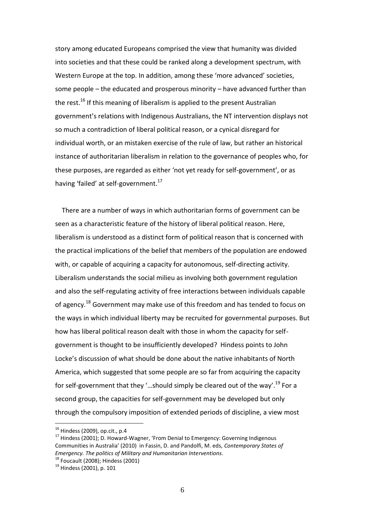story among educated Europeans comprised the view that humanity was divided into societies and that these could be ranked along a development spectrum, with Western Europe at the top. In addition, among these 'more advanced' societies, some people – the educated and prosperous minority – have advanced further than the rest.<sup>16</sup> If this meaning of liberalism is applied to the present Australian government's relations with Indigenous Australians, the NT intervention displays not so much a contradiction of liberal political reason, or a cynical disregard for individual worth, or an mistaken exercise of the rule of law, but rather an historical instance of authoritarian liberalism in relation to the governance of peoples who, for these purposes, are regarded as either 'not yet ready for self-government', or as having 'failed' at self-government.<sup>17</sup>

 There are a number of ways in which authoritarian forms of government can be seen as a characteristic feature of the history of liberal political reason. Here, liberalism is understood as a distinct form of political reason that is concerned with the practical implications of the belief that members of the population are endowed with, or capable of acquiring a capacity for autonomous, self-directing activity. Liberalism understands the social milieu as involving both government regulation and also the self-regulating activity of free interactions between individuals capable of agency.<sup>18</sup> Government may make use of this freedom and has tended to focus on the ways in which individual liberty may be recruited for governmental purposes. But how has liberal political reason dealt with those in whom the capacity for selfgovernment is thought to be insufficiently developed? Hindess points to John Locke's discussion of what should be done about the native inhabitants of North America, which suggested that some people are so far from acquiring the capacity for self-government that they '...should simply be cleared out of the wav'.<sup>19</sup> For a second group, the capacities for self-government may be developed but only through the compulsory imposition of extended periods of discipline, a view most

 $16$  Hindess (2009), op.cit., p.4

<sup>&</sup>lt;sup>17</sup> Hindess (2001); D. Howard-Wagner, 'From Denial to Emergency: Governing Indigenous Communities in Australia' (2010) in Fassin, D. and Pandolfi, M. eds, *Contemporary States of Emergency. The politics of Military and Humanitarian Interventions*. <sup>18</sup> Foucault (2008); Hindess (2001)

<sup>19</sup> Hindess (2001), p. 101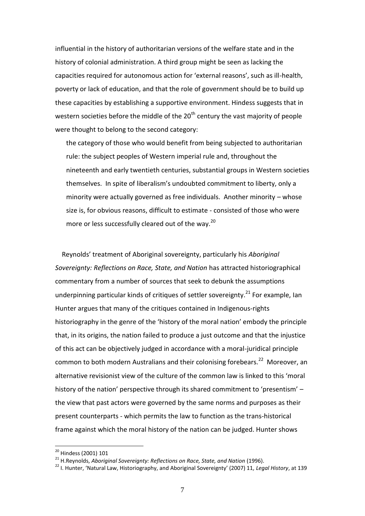influential in the history of authoritarian versions of the welfare state and in the history of colonial administration. A third group might be seen as lacking the capacities required for autonomous action for 'external reasons', such as ill-health, poverty or lack of education, and that the role of government should be to build up these capacities by establishing a supportive environment. Hindess suggests that in western societies before the middle of the  $20<sup>th</sup>$  century the vast majority of people were thought to belong to the second category:

the category of those who would benefit from being subjected to authoritarian rule: the subject peoples of Western imperial rule and, throughout the nineteenth and early twentieth centuries, substantial groups in Western societies themselves. In spite of liberalism's undoubted commitment to liberty, only a minority were actually governed as free individuals. Another minority – whose size is, for obvious reasons, difficult to estimate - consisted of those who were more or less successfully cleared out of the way.<sup>20</sup>

 Reynolds' treatment of Aboriginal sovereignty, particularly his *Aboriginal Sovereignty: Reflections on Race, State, and Nation* has attracted historiographical commentary from a number of sources that seek to debunk the assumptions underpinning particular kinds of critiques of settler sovereignty.<sup>21</sup> For example, Ian Hunter argues that many of the critiques contained in Indigenous-rights historiography in the genre of the 'history of the moral nation' embody the principle that, in its origins, the nation failed to produce a just outcome and that the injustice of this act can be objectively judged in accordance with a moral-juridical principle common to both modern Australians and their colonising forebears.<sup>22</sup> Moreover, an alternative revisionist view of the culture of the common law is linked to this 'moral history of the nation' perspective through its shared commitment to 'presentism' – the view that past actors were governed by the same norms and purposes as their present counterparts - which permits the law to function as the trans-historical frame against which the moral history of the nation can be judged. Hunter shows

<sup>20</sup> Hindess (2001) 101

<sup>21</sup> H.Reynolds, *Aboriginal Sovereignty: Reflections on Race, State, and Nation* (1996).

<sup>22</sup> I. Hunter, 'Natural Law, Historiography, and Aboriginal Sovereignty' (2007) 11*, Legal History*, at 139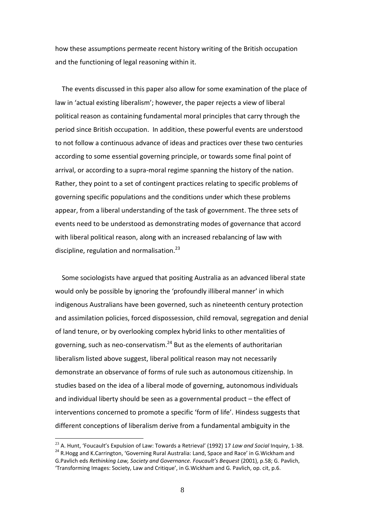how these assumptions permeate recent history writing of the British occupation and the functioning of legal reasoning within it.

 The events discussed in this paper also allow for some examination of the place of law in 'actual existing liberalism'; however, the paper rejects a view of liberal political reason as containing fundamental moral principles that carry through the period since British occupation. In addition, these powerful events are understood to not follow a continuous advance of ideas and practices over these two centuries according to some essential governing principle, or towards some final point of arrival, or according to a supra-moral regime spanning the history of the nation. Rather, they point to a set of contingent practices relating to specific problems of governing specific populations and the conditions under which these problems appear, from a liberal understanding of the task of government. The three sets of events need to be understood as demonstrating modes of governance that accord with liberal political reason, along with an increased rebalancing of law with discipline, regulation and normalisation.<sup>23</sup>

 Some sociologists have argued that positing Australia as an advanced liberal state would only be possible by ignoring the 'profoundly illiberal manner' in which indigenous Australians have been governed, such as nineteenth century protection and assimilation policies, forced dispossession, child removal, segregation and denial of land tenure, or by overlooking complex hybrid links to other mentalities of governing, such as neo-conservatism. $^{24}$  But as the elements of authoritarian liberalism listed above suggest, liberal political reason may not necessarily demonstrate an observance of forms of rule such as autonomous citizenship. In studies based on the idea of a liberal mode of governing, autonomous individuals and individual liberty should be seen as a governmental product – the effect of interventions concerned to promote a specific 'form of life'. Hindess suggests that different conceptions of liberalism derive from a fundamental ambiguity in the

<sup>23</sup> A. Hunt, 'Foucault's Expulsion of Law: Towards a Retrieval' (1992) 17 *Law and Social* Inquiry, 1-38. <sup>24</sup> R.Hogg and K.Carrington, 'Governing Rural Australia: Land, Space and Race' in G.Wickham and

G.Pavlich eds *Rethinking Law, Society and Governance. Foucault's Bequest* (2001), p.58; G. Pavlich, 'Transforming Images: Society, Law and Critique', in G.Wickham and G. Pavlich, op. cit, p.6.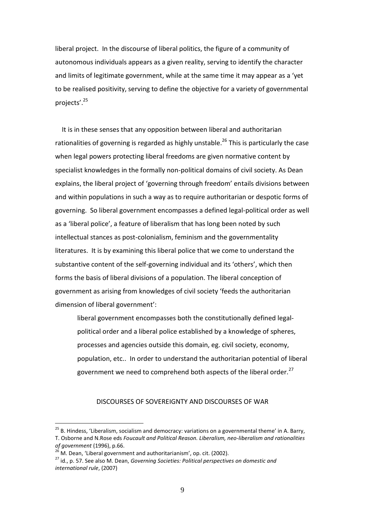liberal project. In the discourse of liberal politics, the figure of a community of autonomous individuals appears as a given reality, serving to identify the character and limits of legitimate government, while at the same time it may appear as a 'yet to be realised positivity, serving to define the objective for a variety of governmental projects'. 25

 It is in these senses that any opposition between liberal and authoritarian rationalities of governing is regarded as highly unstable.<sup>26</sup> This is particularly the case when legal powers protecting liberal freedoms are given normative content by specialist knowledges in the formally non-political domains of civil society. As Dean explains, the liberal project of 'governing through freedom' entails divisions between and within populations in such a way as to require authoritarian or despotic forms of governing. So liberal government encompasses a defined legal-political order as well as a 'liberal police', a feature of liberalism that has long been noted by such intellectual stances as post-colonialism, feminism and the governmentality literatures. It is by examining this liberal police that we come to understand the substantive content of the self-governing individual and its 'others', which then forms the basis of liberal divisions of a population. The liberal conception of government as arising from knowledges of civil society 'feeds the authoritarian dimension of liberal government':

liberal government encompasses both the constitutionally defined legalpolitical order and a liberal police established by a knowledge of spheres, processes and agencies outside this domain, eg. civil society, economy, population, etc.. In order to understand the authoritarian potential of liberal government we need to comprehend both aspects of the liberal order.<sup>27</sup>

## DISCOURSES OF SOVEREIGNTY AND DISCOURSES OF WAR

<sup>&</sup>lt;sup>25</sup> B. Hindess, 'Liberalism, socialism and democracy: variations on a governmental theme' in A. Barry, T. Osborne and N.Rose eds *Foucault and Political Reason. Liberalism, neo-liberalism and rationalities of government* (1996), p.66.

<sup>26</sup> M. Dean, 'Liberal government and authoritarianism', op. cit. (2002).

<sup>27</sup> id., p. 57. See also M. Dean, *Governing Societies: Political perspectives on domestic and international rule*, (2007)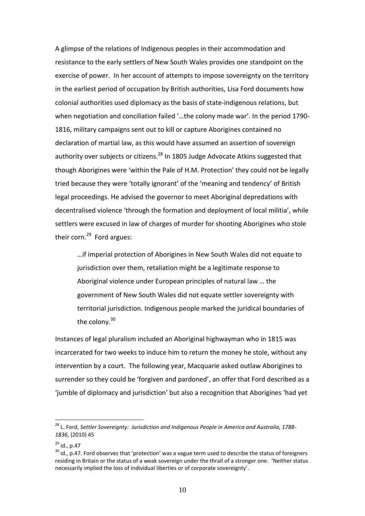A glimpse of the relations of Indigenous peoples in their accommodation and resistance to the early settlers of New South Wales provides one standpoint on the exercise of power. In her account of attempts to impose sovereignty on the territory in the earliest period of occupation by British authorities, Lisa Ford documents how colonial authorities used diplomacy as the basis of state-indigenous relations, but when negotiation and conciliation failed '…the colony made war'. In the period 1790- 1816, military campaigns sent out to kill or capture Aborigines contained no declaration of martial law, as this would have assumed an assertion of sovereign authority over subjects or citizens.<sup>28</sup> In 1805 Judge Advocate Atkins suggested that though Aborigines were 'within the Pale of H.M. Protection' they could not be legally tried because they were 'totally ignorant' of the 'meaning and tendency' of British legal proceedings. He advised the governor to meet Aboriginal depredations with decentralised violence 'through the formation and deployment of local militia', while settlers were excused in law of charges of murder for shooting Aborigines who stole their corn.<sup>29</sup> Ford argues:

…if imperial protection of Aborigines in New South Wales did not equate to jurisdiction over them, retaliation might be a legitimate response to Aboriginal violence under European principles of natural law … the government of New South Wales did not equate settler sovereignty with territorial jurisdiction. Indigenous people marked the juridical boundaries of the colony.<sup>30</sup>

Instances of legal pluralism included an Aboriginal highwayman who in 1815 was incarcerated for two weeks to induce him to return the money he stole, without any intervention by a court. The following year, Macquarie asked outlaw Aborigines to surrender so they could be 'forgiven and pardoned', an offer that Ford described as a 'jumble of diplomacy and jurisdiction' but also a recognition that Aborigines 'had yet

<sup>28</sup> L. Ford, *Settler Sovereignty: Jurisdiction and Indigenous People in America and Australia, 1788- 1836*, (2010) 45

<sup>29</sup> id., p.47

 $30$  id., p.47. Ford observes that 'protection' was a vague term used to describe the status of foreigners residing in Britain or the status of a weak sovereign under the thrall of a stronger one. 'Neither status necessarily implied the loss of individual liberties or of corporate sovereignty'.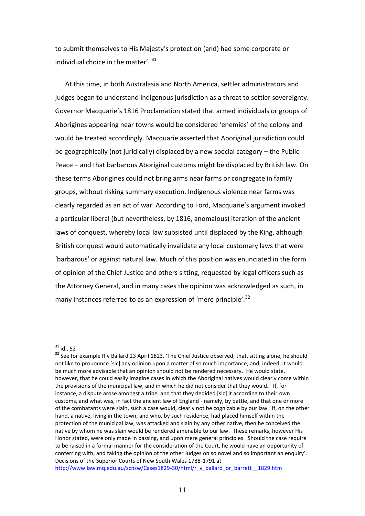to submit themselves to His Majesty's protection (and) had some corporate or individual choice in the matter'. <sup>31</sup>

 At this time, in both Australasia and North America, settler administrators and judges began to understand indigenous jurisdiction as a threat to settler sovereignty. Governor Macquarie's 1816 Proclamation stated that armed individuals or groups of Aborigines appearing near towns would be considered 'enemies' of the colony and would be treated accordingly. Macquarie asserted that Aboriginal jurisdiction could be geographically (not juridically) displaced by a new special category – the Public Peace – and that barbarous Aboriginal customs might be displaced by British law. On these terms Aborigines could not bring arms near farms or congregate in family groups, without risking summary execution. Indigenous violence near farms was clearly regarded as an act of war. According to Ford, Macquarie's argument invoked a particular liberal (but nevertheless, by 1816, anomalous) iteration of the ancient laws of conquest, whereby local law subsisted until displaced by the King, although British conquest would automatically invalidate any local customary laws that were 'barbarous' or against natural law. Much of this position was enunciated in the form of opinion of the Chief Justice and others sitting, requested by legal officers such as the Attorney General, and in many cases the opinion was acknowledged as such, in many instances referred to as an expression of 'mere principle'.<sup>32</sup>

 $31$  id., 52

 $32$  See for example R.v Ballard 23 April 1823. 'The Chief Justice observed, that, sitting alone, he should not like to prouounce [sic] any opinion upon a matter of so much importance; and, indeed, it would be much more advisable that an opinion should not be rendered necessary. He would state, however, that he could easily imagine cases in which the Aboriginal natives would clearly come within the provisions of the municipal law, and in which he did not consider that they would. If, for instance, a dispute arose amongst a tribe, and that they dedided [sic] it according to their own customs, and what was, in fact the ancient law of England - namely, by battle, and that one or more of the combatants were slain, such a case would, clearly not be cognizable by our law. If, on the other hand, a native, living in the town, and who, by such residence, had placed himself within the protection of the municipal law, was attacked and slain by any other native, then he conceived the native by whom he was slain would be rendered amenable to our law. These remarks, however His Honor stated, were only made in passing, and upon mere general principles. Should the case require to be raised in a formal manner for the consideration of the Court, he would have an opportunity of conferring with, and taking the opinion of the other Judges on so novel and so important an enquiry'. Decisions of the Superior Courts of New South Wales 1788-1791 at [http://www.law.mq.edu.au/scnsw/Cases1829-30/html/r\\_v\\_ballard\\_or\\_barrett\\_\\_1829.htm](http://www.law.mq.edu.au/scnsw/Cases1829-30/html/r_v_ballard_or_barrett__1829.htm)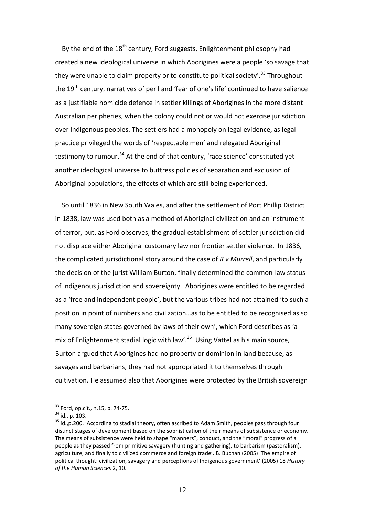By the end of the  $18<sup>th</sup>$  century, Ford suggests, Enlightenment philosophy had created a new ideological universe in which Aborigines were a people 'so savage that they were unable to claim property or to constitute political society'.<sup>33</sup> Throughout the  $19<sup>th</sup>$  century, narratives of peril and 'fear of one's life' continued to have salience as a justifiable homicide defence in settler killings of Aborigines in the more distant Australian peripheries, when the colony could not or would not exercise jurisdiction over Indigenous peoples. The settlers had a monopoly on legal evidence, as legal practice privileged the words of 'respectable men' and relegated Aboriginal testimony to rumour.<sup>34</sup> At the end of that century, 'race science' constituted yet another ideological universe to buttress policies of separation and exclusion of Aboriginal populations, the effects of which are still being experienced.

 So until 1836 in New South Wales, and after the settlement of Port Phillip District in 1838, law was used both as a method of Aboriginal civilization and an instrument of terror, but, as Ford observes, the gradual establishment of settler jurisdiction did not displace either Aboriginal customary law nor frontier settler violence. In 1836, the complicated jurisdictional story around the case of *R v Murrell*, and particularly the decision of the jurist William Burton, finally determined the common-law status of Indigenous jurisdiction and sovereignty. Aborigines were entitled to be regarded as a 'free and independent people', but the various tribes had not attained 'to such a position in point of numbers and civilization…as to be entitled to be recognised as so many sovereign states governed by laws of their own', which Ford describes as 'a mix of Enlightenment stadial logic with law'.<sup>35</sup> Using Vattel as his main source, Burton argued that Aborigines had no property or dominion in land because, as savages and barbarians, they had not appropriated it to themselves through cultivation. He assumed also that Aborigines were protected by the British sovereign

<sup>&</sup>lt;sup>33</sup> Ford, op.cit., n.15, p. 74-75.

 $34$  id., p. 103.

<sup>&</sup>lt;sup>35</sup> id.,p.200. 'According to stadial theory, often ascribed to Adam Smith, peoples pass through four distinct stages of development based on the sophistication of their means of subsistence or economy. The means of subsistence were held to shape "manners", conduct, and the "moral" progress of a people as they passed from primitive savagery (hunting and gathering), to barbarism (pastoralism), agriculture, and finally to civilized commerce and foreign trade'. B. Buchan (2005) 'The empire of political thought: civilization, savagery and perceptions of Indigenous government' (2005) 18 *History of the Human Sciences* 2, 10.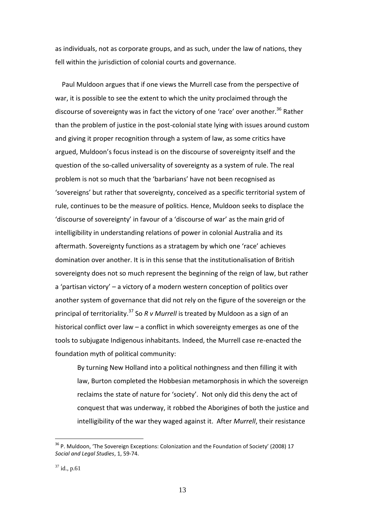as individuals, not as corporate groups, and as such, under the law of nations, they fell within the jurisdiction of colonial courts and governance.

 Paul Muldoon argues that if one views the Murrell case from the perspective of war, it is possible to see the extent to which the unity proclaimed through the discourse of sovereignty was in fact the victory of one 'race' over another.<sup>36</sup> Rather than the problem of justice in the post-colonial state lying with issues around custom and giving it proper recognition through a system of law, as some critics have argued, Muldoon's focus instead is on the discourse of sovereignty itself and the question of the so-called universality of sovereignty as a system of rule. The real problem is not so much that the 'barbarians' have not been recognised as 'sovereigns' but rather that sovereignty, conceived as a specific territorial system of rule, continues to be the measure of politics. Hence, Muldoon seeks to displace the 'discourse of sovereignty' in favour of a 'discourse of war' as the main grid of intelligibility in understanding relations of power in colonial Australia and its aftermath. Sovereignty functions as a stratagem by which one 'race' achieves domination over another. It is in this sense that the institutionalisation of British sovereignty does not so much represent the beginning of the reign of law, but rather a 'partisan victory' – a victory of a modern western conception of politics over another system of governance that did not rely on the figure of the sovereign or the principal of territoriality.<sup>37</sup> So *R v Murrell* is treated by Muldoon as a sign of an historical conflict over law – a conflict in which sovereignty emerges as one of the tools to subjugate Indigenous inhabitants. Indeed, the Murrell case re-enacted the foundation myth of political community:

By turning New Holland into a political nothingness and then filling it with law, Burton completed the Hobbesian metamorphosis in which the sovereign reclaims the state of nature for 'society'. Not only did this deny the act of conquest that was underway, it robbed the Aborigines of both the justice and intelligibility of the war they waged against it. After *Murrell*, their resistance

<sup>&</sup>lt;sup>36</sup> P. Muldoon, 'The Sovereign Exceptions: Colonization and the Foundation of Society' (2008) 17 *Social and Legal Studies*, 1, 59-74.

 $37$  id., p.61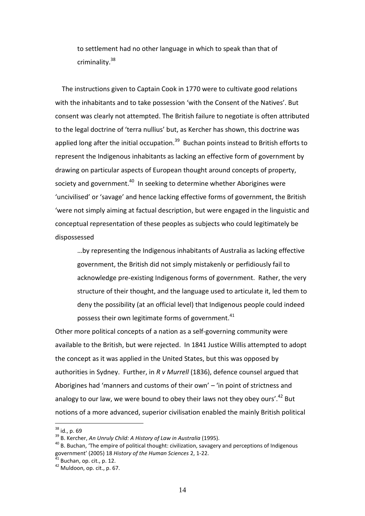to settlement had no other language in which to speak than that of criminality.<sup>38</sup>

 The instructions given to Captain Cook in 1770 were to cultivate good relations with the inhabitants and to take possession 'with the Consent of the Natives'. But consent was clearly not attempted. The British failure to negotiate is often attributed to the legal doctrine of 'terra nullius' but, as Kercher has shown, this doctrine was applied long after the initial occupation.<sup>39</sup> Buchan points instead to British efforts to represent the Indigenous inhabitants as lacking an effective form of government by drawing on particular aspects of European thought around concepts of property, society and government.<sup>40</sup> In seeking to determine whether Aborigines were 'uncivilised' or 'savage' and hence lacking effective forms of government, the British 'were not simply aiming at factual description, but were engaged in the linguistic and conceptual representation of these peoples as subjects who could legitimately be dispossessed

…by representing the Indigenous inhabitants of Australia as lacking effective government, the British did not simply mistakenly or perfidiously fail to acknowledge pre-existing Indigenous forms of government. Rather, the very structure of their thought, and the language used to articulate it, led them to deny the possibility (at an official level) that Indigenous people could indeed possess their own legitimate forms of government.<sup>41</sup>

Other more political concepts of a nation as a self-governing community were available to the British, but were rejected. In 1841 Justice Willis attempted to adopt the concept as it was applied in the United States, but this was opposed by authorities in Sydney. Further, in *R v Murrell* (1836), defence counsel argued that Aborigines had 'manners and customs of their own' – 'in point of strictness and analogy to our law, we were bound to obey their laws not they obey ours'.<sup>42</sup> But notions of a more advanced, superior civilisation enabled the mainly British political

 $38$  id., p. 69

<sup>39</sup> B. Kercher, *An Unruly Child: A History of Law in Australia* (1995).

 $40$  B. Buchan, 'The empire of political thought: civilization, savagery and perceptions of Indigenous government' (2005) 18 *History of the Human Sciences* 2, 1-22.

Buchan, op. cit., p. 12.

<sup>42</sup> Muldoon, op. cit., p. 67.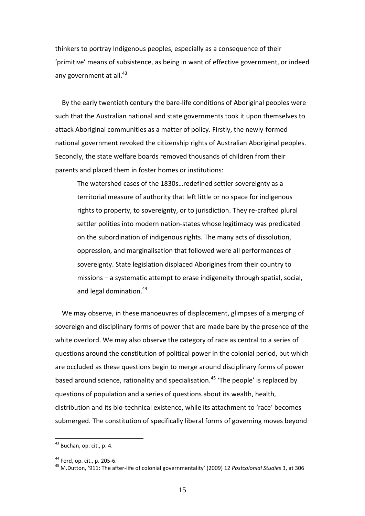thinkers to portray Indigenous peoples, especially as a consequence of their 'primitive' means of subsistence, as being in want of effective government, or indeed any government at all. $^{43}$ 

 By the early twentieth century the bare-life conditions of Aboriginal peoples were such that the Australian national and state governments took it upon themselves to attack Aboriginal communities as a matter of policy. Firstly, the newly-formed national government revoked the citizenship rights of Australian Aboriginal peoples. Secondly, the state welfare boards removed thousands of children from their parents and placed them in foster homes or institutions:

The watershed cases of the 1830s…redefined settler sovereignty as a territorial measure of authority that left little or no space for indigenous rights to property, to sovereignty, or to jurisdiction. They re-crafted plural settler polities into modern nation-states whose legitimacy was predicated on the subordination of indigenous rights. The many acts of dissolution, oppression, and marginalisation that followed were all performances of sovereignty. State legislation displaced Aborigines from their country to missions – a systematic attempt to erase indigeneity through spatial, social, and legal domination.<sup>44</sup>

 We may observe, in these manoeuvres of displacement, glimpses of a merging of sovereign and disciplinary forms of power that are made bare by the presence of the white overlord. We may also observe the category of race as central to a series of questions around the constitution of political power in the colonial period, but which are occluded as these questions begin to merge around disciplinary forms of power based around science, rationality and specialisation.<sup>45</sup> 'The people' is replaced by questions of population and a series of questions about its wealth, health, distribution and its bio-technical existence, while its attachment to 'race' becomes submerged. The constitution of specifically liberal forms of governing moves beyond

 $43$  Buchan, op. cit., p. 4.

<sup>44</sup> Ford, op. cit., p. 205-6.

<sup>45</sup> M.Dutton, '911: The after-life of colonial governmentality' (2009) 12 *Postcolonial Studies* 3, at 306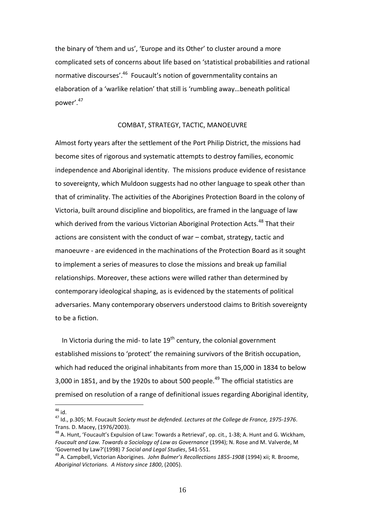the binary of 'them and us', 'Europe and its Other' to cluster around a more complicated sets of concerns about life based on 'statistical probabilities and rational normative discourses'.<sup>46</sup> Foucault's notion of governmentality contains an elaboration of a 'warlike relation' that still is 'rumbling away…beneath political power'.<sup>47</sup>

## COMBAT, STRATEGY, TACTIC, MANOEUVRE

Almost forty years after the settlement of the Port Philip District, the missions had become sites of rigorous and systematic attempts to destroy families, economic independence and Aboriginal identity. The missions produce evidence of resistance to sovereignty, which Muldoon suggests had no other language to speak other than that of criminality. The activities of the Aborigines Protection Board in the colony of Victoria, built around discipline and biopolitics, are framed in the language of law which derived from the various Victorian Aboriginal Protection Acts.<sup>48</sup> That their actions are consistent with the conduct of war – combat, strategy, tactic and manoeuvre - are evidenced in the machinations of the Protection Board as it sought to implement a series of measures to close the missions and break up familial relationships. Moreover, these actions were willed rather than determined by contemporary ideological shaping, as is evidenced by the statements of political adversaries. Many contemporary observers understood claims to British sovereignty to be a fiction.

In Victoria during the mid- to late  $19<sup>th</sup>$  century, the colonial government established missions to 'protect' the remaining survivors of the British occupation, which had reduced the original inhabitants from more than 15,000 in 1834 to below 3,000 in 1851, and by the 1920s to about 500 people.<sup>49</sup> The official statistics are premised on resolution of a range of definitional issues regarding Aboriginal identity,

 $46$  id.

<sup>47</sup> Id., p.305; M. Foucault *Society must be defended. Lectures at the College de France, 1975-1976*. Trans. D. Macey, (1976/2003).

 $^{48}$  A. Hunt, 'Foucault's Expulsion of Law: Towards a Retrieval', op. cit., 1-38; A. Hunt and G. Wickham, *Foucault and Law. Towards a Sociology of Law as Governance* (1994); N. Rose and M. Valverde, M 'Governed by Law?'(1998) 7 *Social and Legal Studies*, 541-551.

<sup>49</sup> A. Campbell, Victorian Aborigines. *John Bulmer's Recollections 1855-1908* (1994) xii; R. Broome, *Aboriginal Victorians. A History since 1800*, (2005).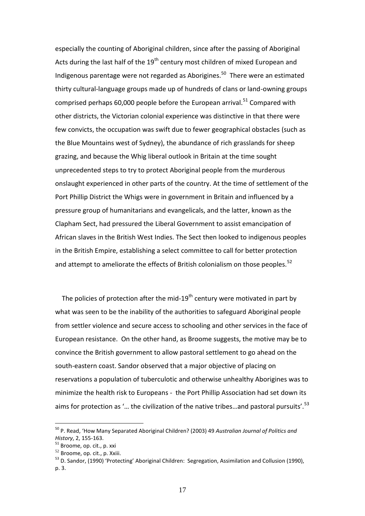especially the counting of Aboriginal children, since after the passing of Aboriginal Acts during the last half of the 19<sup>th</sup> century most children of mixed European and Indigenous parentage were not regarded as Aborigines.<sup>50</sup> There were an estimated thirty cultural-language groups made up of hundreds of clans or land-owning groups comprised perhaps 60,000 people before the European arrival.<sup>51</sup> Compared with other districts, the Victorian colonial experience was distinctive in that there were few convicts, the occupation was swift due to fewer geographical obstacles (such as the Blue Mountains west of Sydney), the abundance of rich grasslands for sheep grazing, and because the Whig liberal outlook in Britain at the time sought unprecedented steps to try to protect Aboriginal people from the murderous onslaught experienced in other parts of the country. At the time of settlement of the Port Phillip District the Whigs were in government in Britain and influenced by a pressure group of humanitarians and evangelicals, and the latter, known as the Clapham Sect, had pressured the Liberal Government to assist emancipation of African slaves in the British West Indies. The Sect then looked to indigenous peoples in the British Empire, establishing a select committee to call for better protection and attempt to ameliorate the effects of British colonialism on those peoples.<sup>52</sup>

The policies of protection after the mid-19<sup>th</sup> century were motivated in part by what was seen to be the inability of the authorities to safeguard Aboriginal people from settler violence and secure access to schooling and other services in the face of European resistance. On the other hand, as Broome suggests, the motive may be to convince the British government to allow pastoral settlement to go ahead on the south-eastern coast. Sandor observed that a major objective of placing on reservations a population of tuberculotic and otherwise unhealthy Aborigines was to minimize the health risk to Europeans - the Port Phillip Association had set down its aims for protection as '... the civilization of the native tribes... and pastoral pursuits'.<sup>53</sup>

<sup>50</sup> P. Read, 'How Many Separated Aboriginal Children? (2003) 49 *Australian Journal of Politics and History*, 2, 155-163.

<sup>51</sup> Broome, op. cit., p. xxi

 $52$  Broome, op. cit., p. Xxiii.

<sup>&</sup>lt;sup>53</sup> D. Sandor, (1990) 'Protecting' Aboriginal Children: Segregation, Assimilation and Collusion (1990), p. 3.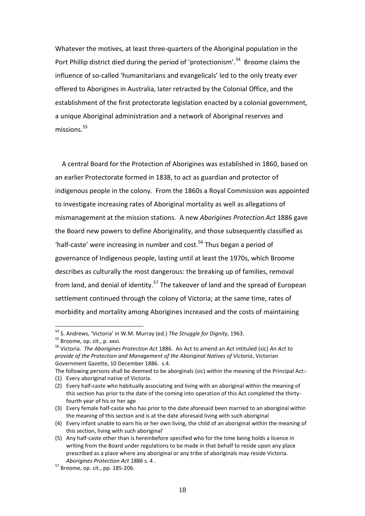Whatever the motives, at least three-quarters of the Aboriginal population in the Port Phillip district died during the period of 'protectionism'.<sup>54</sup> Broome claims the influence of so-called 'humanitarians and evangelicals' led to the only treaty ever offered to Aborigines in Australia, later retracted by the Colonial Office, and the establishment of the first protectorate legislation enacted by a colonial government, a unique Aboriginal administration and a network of Aboriginal reserves and missions.<sup>55</sup>

 A central Board for the Protection of Aborigines was established in 1860, based on an earlier Protectorate formed in 1838, to act as guardian and protector of indigenous people in the colony. From the 1860s a Royal Commission was appointed to investigate increasing rates of Aboriginal mortality as well as allegations of mismanagement at the mission stations. A new *Aborigines Protection Act* 1886 gave the Board new powers to define Aboriginality, and those subsequently classified as 'half-caste' were increasing in number and cost. $56$  Thus began a period of governance of Indigenous people, lasting until at least the 1970s, which Broome describes as culturally the most dangerous: the breaking up of families, removal from land, and denial of identity.<sup>57</sup> The takeover of land and the spread of European settlement continued through the colony of Victoria; at the same time, rates of morbidity and mortality among Aborigines increased and the costs of maintaining

<sup>54</sup> S. Andrews, 'Victoria' in W.M. Murray (ed.) *The Struggle for Dignity*, 1963.

<sup>&</sup>lt;sup>55</sup> Broome, op. cit., p. xxvi.

<sup>56</sup> Victoria. *The Aborigines Protection Act* 1886. An Act to amend an Act intituled (sic) *An Act to provide of the Protection and Management of the Aboriginal Natives of Victoria*, Victorian Government Gazette, 10 December 1886. s.4.

The following persons shall be deemed to be aborginals (sic) within the meaning of the Principal Act:-

<sup>(1)</sup> Every aboriginal native of Victoria.

<sup>(2)</sup> Every half-caste who habitually associating and living with an aboriginal within the meaning of this section has prior to the date of the coming into operation of this Act completed the thirtyfourth year of his or her age

<sup>(3)</sup> Every female half-caste who has prior to the date aforesaid been married to an aboriginal within the meaning of this section and is at the date aforesaid living with such aboriginal

<sup>(4)</sup> Every infant unable to earn his or her own living, the child of an aboriginal within the meaning of this section, living with such aboriginal'

<sup>(5)</sup> Any half-caste other than is hereinbefore specified who for the time being holds a licence in writing from the Board under regulations to be made in that behalf to reside upon any place prescribed as a place where any aboriginal or any tribe of aboriginals may reside Victoria. *Aborigines Protection Act 1886* s. 4 .

<sup>57</sup> Broome, op. cit., pp. 185-206.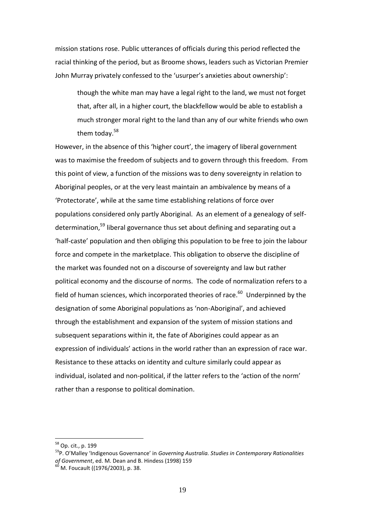mission stations rose. Public utterances of officials during this period reflected the racial thinking of the period, but as Broome shows, leaders such as Victorian Premier John Murray privately confessed to the 'usurper's anxieties about ownership':

though the white man may have a legal right to the land, we must not forget that, after all, in a higher court, the blackfellow would be able to establish a much stronger moral right to the land than any of our white friends who own them today.<sup>58</sup>

However, in the absence of this 'higher court', the imagery of liberal government was to maximise the freedom of subjects and to govern through this freedom. From this point of view, a function of the missions was to deny sovereignty in relation to Aboriginal peoples, or at the very least maintain an ambivalence by means of a 'Protectorate', while at the same time establishing relations of force over populations considered only partly Aboriginal. As an element of a genealogy of selfdetermination,<sup>59</sup> liberal governance thus set about defining and separating out a 'half-caste' population and then obliging this population to be free to join the labour force and compete in the marketplace. This obligation to observe the discipline of the market was founded not on a discourse of sovereignty and law but rather political economy and the discourse of norms. The code of normalization refers to a field of human sciences, which incorporated theories of race.<sup>60</sup> Underpinned by the designation of some Aboriginal populations as 'non-Aboriginal', and achieved through the establishment and expansion of the system of mission stations and subsequent separations within it, the fate of Aborigines could appear as an expression of individuals' actions in the world rather than an expression of race war. Resistance to these attacks on identity and culture similarly could appear as individual, isolated and non-political, if the latter refers to the 'action of the norm' rather than a response to political domination.

<sup>58</sup> Op. cit., p. 199

<sup>59</sup>P. O'Malley 'Indigenous Governance' in *Governing Australia. Studies in Contemporary Rationalities of Government*, ed. M. Dean and B. Hindess (1998) 159

 $^{60}$  M. Foucault ((1976/2003), p. 38.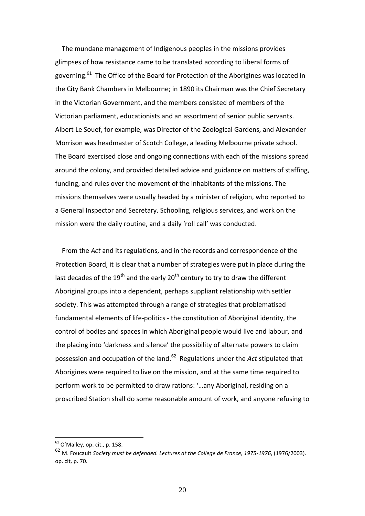The mundane management of Indigenous peoples in the missions provides glimpses of how resistance came to be translated according to liberal forms of governing.<sup>61</sup> The Office of the Board for Protection of the Aborigines was located in the City Bank Chambers in Melbourne; in 1890 its Chairman was the Chief Secretary in the Victorian Government, and the members consisted of members of the Victorian parliament, educationists and an assortment of senior public servants. Albert Le Souef, for example, was Director of the Zoological Gardens, and Alexander Morrison was headmaster of Scotch College, a leading Melbourne private school. The Board exercised close and ongoing connections with each of the missions spread around the colony, and provided detailed advice and guidance on matters of staffing, funding, and rules over the movement of the inhabitants of the missions. The missions themselves were usually headed by a minister of religion, who reported to a General Inspector and Secretary. Schooling, religious services, and work on the mission were the daily routine, and a daily 'roll call' was conducted.

 From the *Act* and its regulations, and in the records and correspondence of the Protection Board, it is clear that a number of strategies were put in place during the last decades of the  $19^{th}$  and the early 20<sup>th</sup> century to try to draw the different Aboriginal groups into a dependent, perhaps suppliant relationship with settler society. This was attempted through a range of strategies that problematised fundamental elements of life-politics - the constitution of Aboriginal identity, the control of bodies and spaces in which Aboriginal people would live and labour, and the placing into 'darkness and silence' the possibility of alternate powers to claim possession and occupation of the land.<sup>62</sup> Regulations under the *Act* stipulated that Aborigines were required to live on the mission, and at the same time required to perform work to be permitted to draw rations: '…any Aboriginal, residing on a proscribed Station shall do some reasonable amount of work, and anyone refusing to

 $61$  O'Malley, op. cit., p. 158.

<sup>62</sup> M. Foucault *Society must be defended. Lectures at the College de France, 1975-1976*, (1976/2003). op. cit, p. 70.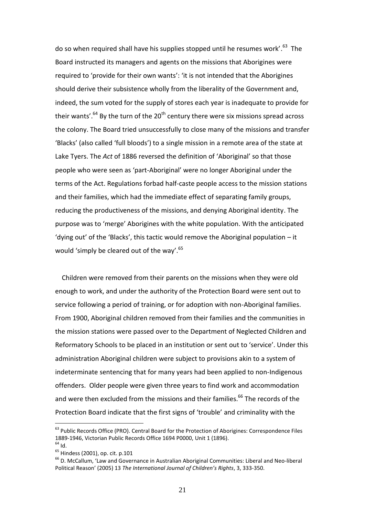do so when required shall have his supplies stopped until he resumes work'.<sup>63</sup> The Board instructed its managers and agents on the missions that Aborigines were required to 'provide for their own wants': 'it is not intended that the Aborigines should derive their subsistence wholly from the liberality of the Government and, indeed, the sum voted for the supply of stores each year is inadequate to provide for their wants'.<sup>64</sup> By the turn of the 20<sup>th</sup> century there were six missions spread across the colony. The Board tried unsuccessfully to close many of the missions and transfer 'Blacks' (also called 'full bloods') to a single mission in a remote area of the state at Lake Tyers. The *Act* of 1886 reversed the definition of 'Aboriginal' so that those people who were seen as 'part-Aboriginal' were no longer Aboriginal under the terms of the Act. Regulations forbad half-caste people access to the mission stations and their families, which had the immediate effect of separating family groups, reducing the productiveness of the missions, and denying Aboriginal identity. The purpose was to 'merge' Aborigines with the white population. With the anticipated 'dying out' of the 'Blacks', this tactic would remove the Aboriginal population – it would 'simply be cleared out of the way'. $65$ 

 Children were removed from their parents on the missions when they were old enough to work, and under the authority of the Protection Board were sent out to service following a period of training, or for adoption with non-Aboriginal families. From 1900, Aboriginal children removed from their families and the communities in the mission stations were passed over to the Department of Neglected Children and Reformatory Schools to be placed in an institution or sent out to 'service'. Under this administration Aboriginal children were subject to provisions akin to a system of indeterminate sentencing that for many years had been applied to non-Indigenous offenders. Older people were given three years to find work and accommodation and were then excluded from the missions and their families.<sup>66</sup> The records of the Protection Board indicate that the first signs of 'trouble' and criminality with the

<sup>&</sup>lt;sup>63</sup> Public Records Office (PRO). Central Board for the Protection of Aborigines: Correspondence Files 1889-1946, Victorian Public Records Office 1694 P0000, Unit 1 (1896).

 $^{64}$ ld.

<sup>65</sup> Hindess (2001), op. cit. p.101

<sup>66</sup> D. McCallum, 'Law and Governance in Australian Aboriginal Communities: Liberal and Neo-liberal Political Reason' (2005) 13 *The International Journal of Children's Rights*, 3, 333-350.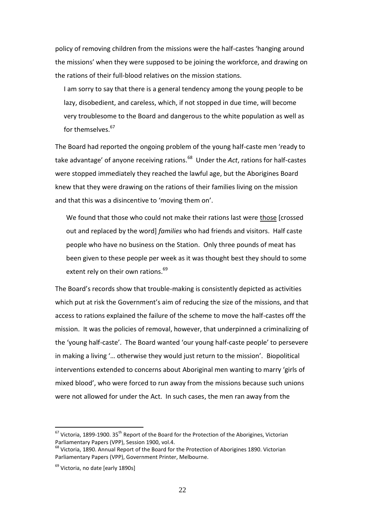policy of removing children from the missions were the half-castes 'hanging around the missions' when they were supposed to be joining the workforce, and drawing on the rations of their full-blood relatives on the mission stations.

I am sorry to say that there is a general tendency among the young people to be lazy, disobedient, and careless, which, if not stopped in due time, will become very troublesome to the Board and dangerous to the white population as well as for themselves.<sup>67</sup>

The Board had reported the ongoing problem of the young half-caste men 'ready to take advantage' of anyone receiving rations.<sup>68</sup> Under the *Act*, rations for half-castes were stopped immediately they reached the lawful age, but the Aborigines Board knew that they were drawing on the rations of their families living on the mission and that this was a disincentive to 'moving them on'.

We found that those who could not make their rations last were those [crossed out and replaced by the word] *families* who had friends and visitors. Half caste people who have no business on the Station. Only three pounds of meat has been given to these people per week as it was thought best they should to some extent rely on their own rations.<sup>69</sup>

The Board's records show that trouble-making is consistently depicted as activities which put at risk the Government's aim of reducing the size of the missions, and that access to rations explained the failure of the scheme to move the half-castes off the mission. It was the policies of removal, however, that underpinned a criminalizing of the 'young half-caste'. The Board wanted 'our young half-caste people' to persevere in making a living '… otherwise they would just return to the mission'. Biopolitical interventions extended to concerns about Aboriginal men wanting to marry 'girls of mixed blood', who were forced to run away from the missions because such unions were not allowed for under the Act. In such cases, the men ran away from the

 $67$  Victoria, 1899-1900. 35<sup>th</sup> Report of the Board for the Protection of the Aborigines, Victorian Parliamentary Papers (VPP), Session 1900, vol.4.

<sup>&</sup>lt;sup>68</sup> Victoria, 1890. Annual Report of the Board for the Protection of Aborigines 1890. Victorian Parliamentary Papers (VPP), Government Printer, Melbourne.

<sup>&</sup>lt;sup>69</sup> Victoria, no date [early 1890s]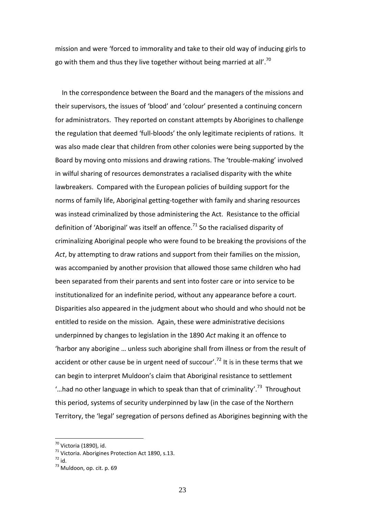mission and were 'forced to immorality and take to their old way of inducing girls to go with them and thus they live together without being married at all'.<sup>70</sup>

 In the correspondence between the Board and the managers of the missions and their supervisors, the issues of 'blood' and 'colour' presented a continuing concern for administrators. They reported on constant attempts by Aborigines to challenge the regulation that deemed 'full-bloods' the only legitimate recipients of rations. It was also made clear that children from other colonies were being supported by the Board by moving onto missions and drawing rations. The 'trouble-making' involved in wilful sharing of resources demonstrates a racialised disparity with the white lawbreakers. Compared with the European policies of building support for the norms of family life, Aboriginal getting-together with family and sharing resources was instead criminalized by those administering the Act. Resistance to the official definition of 'Aboriginal' was itself an offence.<sup>71</sup> So the racialised disparity of criminalizing Aboriginal people who were found to be breaking the provisions of the *Act*, by attempting to draw rations and support from their families on the mission, was accompanied by another provision that allowed those same children who had been separated from their parents and sent into foster care or into service to be institutionalized for an indefinite period, without any appearance before a court. Disparities also appeared in the judgment about who should and who should not be entitled to reside on the mission. Again, these were administrative decisions underpinned by changes to legislation in the 1890 *Act* making it an offence to 'harbor any aborigine … unless such aborigine shall from illness or from the result of accident or other cause be in urgent need of succour'.<sup>72</sup> It is in these terms that we can begin to interpret Muldoon's claim that Aboriginal resistance to settlement "...had no other language in which to speak than that of criminality".<sup>73</sup> Throughout this period, systems of security underpinned by law (in the case of the Northern Territory, the 'legal' segregation of persons defined as Aborigines beginning with the

 $70$  Victoria (1890), id.

 $71$  Victoria. Aborigines Protection Act 1890, s.13.

<sup>72</sup> id.

 $73$  Muldoon, op. cit. p. 69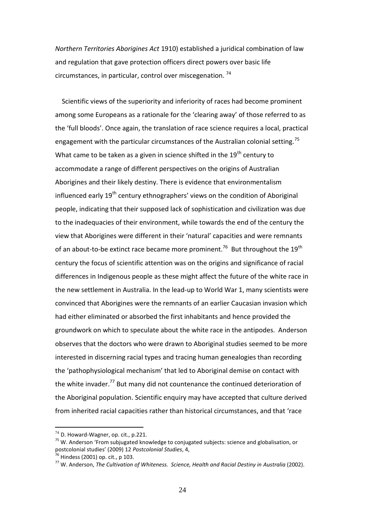*Northern Territories Aborigines Act* 1910) established a juridical combination of law and regulation that gave protection officers direct powers over basic life circumstances, in particular, control over miscegenation.<sup>74</sup>

 Scientific views of the superiority and inferiority of races had become prominent among some Europeans as a rationale for the 'clearing away' of those referred to as the 'full bloods'. Once again, the translation of race science requires a local, practical engagement with the particular circumstances of the Australian colonial setting.<sup>75</sup> What came to be taken as a given in science shifted in the  $19<sup>th</sup>$  century to accommodate a range of different perspectives on the origins of Australian Aborigines and their likely destiny. There is evidence that environmentalism influenced early  $19<sup>th</sup>$  century ethnographers' views on the condition of Aboriginal people, indicating that their supposed lack of sophistication and civilization was due to the inadequacies of their environment, while towards the end of the century the view that Aborigines were different in their 'natural' capacities and were remnants of an about-to-be extinct race became more prominent.<sup>76</sup> But throughout the 19<sup>th</sup> century the focus of scientific attention was on the origins and significance of racial differences in Indigenous people as these might affect the future of the white race in the new settlement in Australia. In the lead-up to World War 1, many scientists were convinced that Aborigines were the remnants of an earlier Caucasian invasion which had either eliminated or absorbed the first inhabitants and hence provided the groundwork on which to speculate about the white race in the antipodes. Anderson observes that the doctors who were drawn to Aboriginal studies seemed to be more interested in discerning racial types and tracing human genealogies than recording the 'pathophysiological mechanism' that led to Aboriginal demise on contact with the white invader.<sup>77</sup> But many did not countenance the continued deterioration of the Aboriginal population. Scientific enquiry may have accepted that culture derived from inherited racial capacities rather than historical circumstances, and that 'race

 $74$  D. Howard-Wagner, op. cit., p.221.

<sup>&</sup>lt;sup>75</sup> W. Anderson 'From subjugated knowledge to conjugated subjects: science and globalisation, or postcolonial studies' (2009) 12 *Postcolonial Studies*, 4,

<sup>&</sup>lt;sup>76</sup> Hindess (2001) op. cit., p 103.

<sup>77</sup> W. Anderson, *The Cultivation of Whiteness. Science, Health and Racial Destiny in Australia* (2002).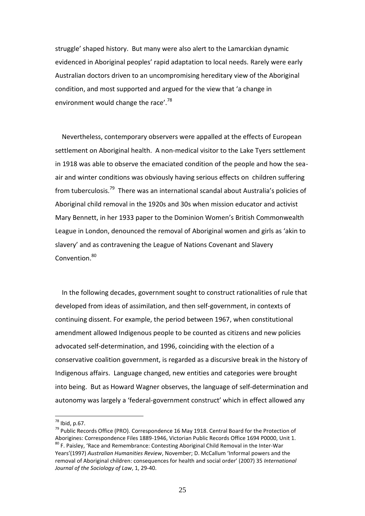struggle' shaped history. But many were also alert to the Lamarckian dynamic evidenced in Aboriginal peoples' rapid adaptation to local needs. Rarely were early Australian doctors driven to an uncompromising hereditary view of the Aboriginal condition, and most supported and argued for the view that 'a change in environment would change the race'.<sup>78</sup>

 Nevertheless, contemporary observers were appalled at the effects of European settlement on Aboriginal health. A non-medical visitor to the Lake Tyers settlement in 1918 was able to observe the emaciated condition of the people and how the seaair and winter conditions was obviously having serious effects on children suffering from tuberculosis.<sup>79</sup> There was an international scandal about Australia's policies of Aboriginal child removal in the 1920s and 30s when mission educator and activist Mary Bennett, in her 1933 paper to the Dominion Women's British Commonwealth League in London, denounced the removal of Aboriginal women and girls as 'akin to slavery' and as contravening the League of Nations Covenant and Slavery Convention.<sup>80</sup>

 In the following decades, government sought to construct rationalities of rule that developed from ideas of assimilation, and then self-government, in contexts of continuing dissent. For example, the period between 1967, when constitutional amendment allowed Indigenous people to be counted as citizens and new policies advocated self-determination, and 1996, coinciding with the election of a conservative coalition government, is regarded as a discursive break in the history of Indigenous affairs. Language changed, new entities and categories were brought into being. But as Howard Wagner observes, the language of self-determination and autonomy was largely a 'federal-government construct' which in effect allowed any

 $^{78}$  Ibid, p.67.

<sup>&</sup>lt;sup>79</sup> Public Records Office (PRO). Correspondence 16 May 1918. Central Board for the Protection of Aborigines: Correspondence Files 1889-1946, Victorian Public Records Office 1694 P0000, Unit 1. <sup>80</sup> F. Paisley, 'Race and Remembrance: Contesting Aboriginal Child Removal in the Inter-War

Years'(1997) *Australian Humanities Review*, November; D. McCallum 'Informal powers and the removal of Aboriginal children: consequences for health and social order' (2007) 35 *International Journal of the Sociology of Law*, 1, 29-40.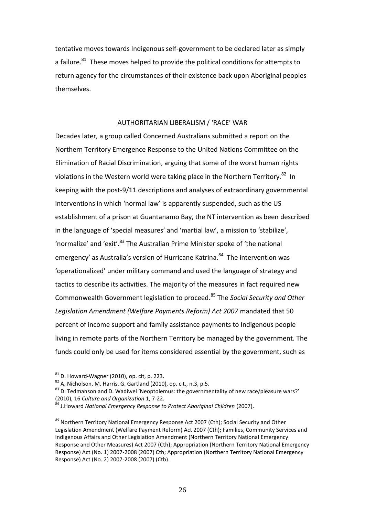tentative moves towards Indigenous self-government to be declared later as simply a failure.<sup>81</sup> These moves helped to provide the political conditions for attempts to return agency for the circumstances of their existence back upon Aboriginal peoples themselves.

## AUTHORITARIAN LIBERALISM / 'RACE' WAR

Decades later, a group called Concerned Australians submitted a report on the Northern Territory Emergence Response to the United Nations Committee on the Elimination of Racial Discrimination, arguing that some of the worst human rights violations in the Western world were taking place in the Northern Territory.<sup>82</sup> In keeping with the post-9/11 descriptions and analyses of extraordinary governmental interventions in which 'normal law' is apparently suspended, such as the US establishment of a prison at Guantanamo Bay, the NT intervention as been described in the language of 'special measures' and 'martial law', a mission to 'stabilize', 'normalize' and 'exit'.<sup>83</sup> The Australian Prime Minister spoke of 'the national emergency' as Australia's version of Hurricane Katrina.<sup>84</sup> The intervention was 'operationalized' under military command and used the language of strategy and tactics to describe its activities. The majority of the measures in fact required new Commonwealth Government legislation to proceed.<sup>85</sup> The *Social Security and Other Legislation Amendment (Welfare Payments Reform) Act 2007* mandated that 50 percent of income support and family assistance payments to Indigenous people living in remote parts of the Northern Territory be managed by the government. The funds could only be used for items considered essential by the government, such as

 $81$  D. Howard-Wagner (2010), op. cit. p. 223.

 $82$  A. Nicholson, M. Harris, G. Gartland (2010), op. cit., n.3, p.5.

 $83$  D. Tedmanson and D. Wadiwel 'Neoptolemus: the governmentality of new race/pleasure wars?' (2010), 16 *Culture and Organization* 1, 7-22.

<sup>84</sup> J.Howard *National Emergency Response to Protect Aboriginal Children* (2007).

*<sup>85</sup>* Northern Territory National Emergency Response Act 2007 (Cth); Social Security and Other Legislation Amendment (Welfare Payment Reform) Act 2007 (Cth); Families, Community Services and Indigenous Affairs and Other Legislation Amendment (Northern Territory National Emergency Response and Other Measures) Act 2007 (Cth); Appropriation (Northern Territory National Emergency Response) Act (No. 1) 2007-2008 (2007) Cth; Appropriation (Northern Territory National Emergency Response) Act (No. 2) 2007-2008 (2007) (Cth).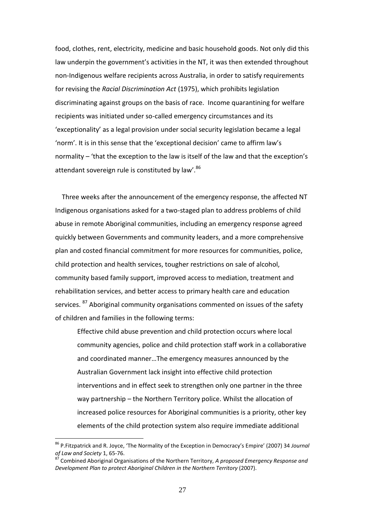food, clothes, rent, electricity, medicine and basic household goods. Not only did this law underpin the government's activities in the NT, it was then extended throughout non-Indigenous welfare recipients across Australia, in order to satisfy requirements for revising the *Racial Discrimination Act* (1975), which prohibits legislation discriminating against groups on the basis of race. Income quarantining for welfare recipients was initiated under so-called emergency circumstances and its 'exceptionality' as a legal provision under social security legislation became a legal 'norm'. It is in this sense that the 'exceptional decision' came to affirm law's normality – 'that the exception to the law is itself of the law and that the exception's attendant sovereign rule is constituted by law'.<sup>86</sup>

 Three weeks after the announcement of the emergency response, the affected NT Indigenous organisations asked for a two-staged plan to address problems of child abuse in remote Aboriginal communities, including an emergency response agreed quickly between Governments and community leaders, and a more comprehensive plan and costed financial commitment for more resources for communities, police, child protection and health services, tougher restrictions on sale of alcohol, community based family support, improved access to mediation, treatment and rehabilitation services, and better access to primary health care and education services. <sup>87</sup> Aboriginal community organisations commented on issues of the safety of children and families in the following terms:

Effective child abuse prevention and child protection occurs where local community agencies, police and child protection staff work in a collaborative and coordinated manner…The emergency measures announced by the Australian Government lack insight into effective child protection interventions and in effect seek to strengthen only one partner in the three way partnership – the Northern Territory police. Whilst the allocation of increased police resources for Aboriginal communities is a priority, other key elements of the child protection system also require immediate additional

<sup>86</sup> P.Fitzpatrick and R. Joyce, 'The Normality of the Exception in Democracy's Empire' (2007) 34 *Journal of Law and Society* 1, 65-76.

<sup>87</sup> Combined Aboriginal Organisations of the Northern Territory, *A proposed Emergency Response and Development Plan to protect Aboriginal Children in the Northern Territory* (2007).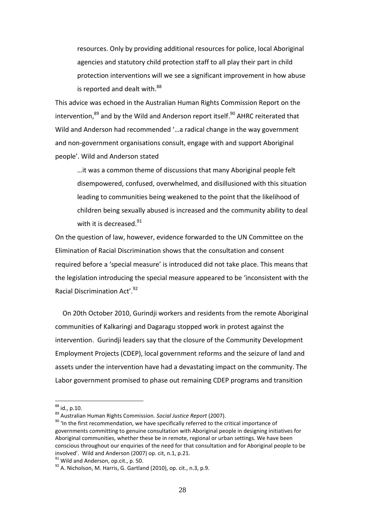resources. Only by providing additional resources for police, local Aboriginal agencies and statutory child protection staff to all play their part in child protection interventions will we see a significant improvement in how abuse is reported and dealt with.<sup>88</sup>

This advice was echoed in the Australian Human Rights Commission Report on the intervention,<sup>89</sup> and by the Wild and Anderson report itself.<sup>90</sup> AHRC reiterated that Wild and Anderson had recommended '…a radical change in the way government and non-government organisations consult, engage with and support Aboriginal people'. Wild and Anderson stated

…it was a common theme of discussions that many Aboriginal people felt disempowered, confused, overwhelmed, and disillusioned with this situation leading to communities being weakened to the point that the likelihood of children being sexually abused is increased and the community ability to deal with it is decreased.<sup>91</sup>

On the question of law, however, evidence forwarded to the UN Committee on the Elimination of Racial Discrimination shows that the consultation and consent required before a 'special measure' is introduced did not take place. This means that the legislation introducing the special measure appeared to be 'inconsistent with the Racial Discrimination Act'.<sup>92</sup>

 On 20th October 2010, Gurindji workers and residents from the remote Aboriginal communities of Kalkaringi and Dagaragu stopped work in protest against the intervention. Gurindji leaders say that the closure of the Community Development Employment Projects (CDEP), local government reforms and the seizure of land and assets under the intervention have had a devastating impact on the community. The Labor government promised to phase out remaining CDEP programs and transition

 $^{88}$  id., p.10.

<sup>89</sup> Australian Human Rights Commission*. Social Justice Report* (2007).

<sup>&</sup>lt;sup>90</sup> 'In the first recommendation, we have specifically referred to the critical importance of governments committing to genuine consultation with Aboriginal people in designing initiatives for Aboriginal communities, whether these be in remote, regional or urban settings. We have been conscious throughout our enquiries of the need for that consultation and for Aboriginal people to be involved'. Wild and Anderson (2007) op. cit, n.1, p.21.

 $91$  Wild and Anderson, op.cit., p. 50.

 $92$  A. Nicholson. M. Harris, G. Gartland (2010), op. cit., n.3, p.9.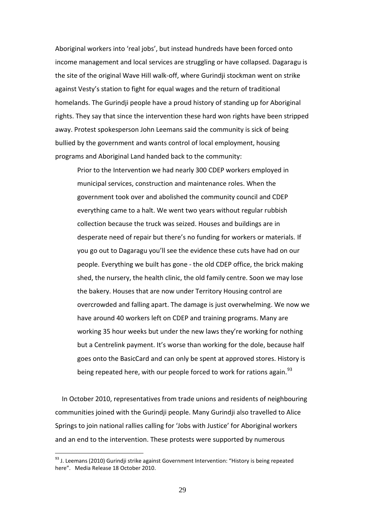Aboriginal workers into 'real jobs', but instead hundreds have been forced onto income management and local services are struggling or have collapsed. Dagaragu is the site of the original Wave Hill walk-off, where Gurindji stockman went on strike against Vesty's station to fight for equal wages and the return of traditional homelands. The Gurindji people have a proud history of standing up for Aboriginal rights. They say that since the intervention these hard won rights have been stripped away. Protest spokesperson John Leemans said the community is sick of being bullied by the government and wants control of local employment, housing programs and Aboriginal Land handed back to the community:

Prior to the Intervention we had nearly 300 CDEP workers employed in municipal services, construction and maintenance roles. When the government took over and abolished the community council and CDEP everything came to a halt. We went two years without regular rubbish collection because the truck was seized. Houses and buildings are in desperate need of repair but there's no funding for workers or materials. If you go out to Dagaragu you'll see the evidence these cuts have had on our people. Everything we built has gone - the old CDEP office, the brick making shed, the nursery, the health clinic, the old family centre. Soon we may lose the bakery. Houses that are now under Territory Housing control are overcrowded and falling apart. The damage is just overwhelming. We now we have around 40 workers left on CDEP and training programs. Many are working 35 hour weeks but under the new laws they're working for nothing but a Centrelink payment. It's worse than working for the dole, because half goes onto the BasicCard and can only be spent at approved stores. History is being repeated here, with our people forced to work for rations again.<sup>93</sup>

 In October 2010, representatives from trade unions and residents of neighbouring communities joined with the Gurindji people. Many Gurindji also travelled to Alice Springs to join national rallies calling for 'Jobs with Justice' for Aboriginal workers and an end to the intervention. These protests were supported by numerous

<sup>93</sup> J. Leemans (2010) Gurindji strike against Government Intervention: "History is being repeated here". Media Release 18 October 2010.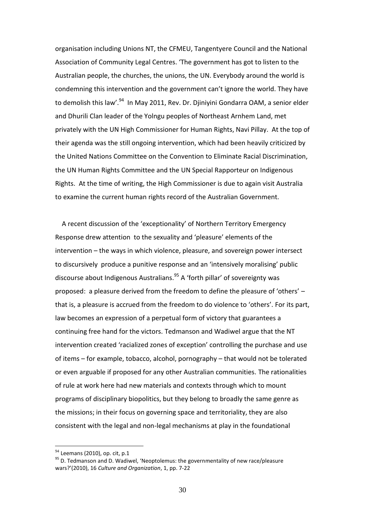organisation including Unions NT, the CFMEU, Tangentyere Council and the National Association of Community Legal Centres. 'The government has got to listen to the Australian people, the churches, the unions, the UN. Everybody around the world is condemning this intervention and the government can't ignore the world. They have to demolish this law'.<sup>94</sup> In May 2011, Rev. Dr. Djiniyini Gondarra OAM, a senior elder and Dhurili Clan leader of the Yolngu peoples of Northeast Arnhem Land, met privately with the UN High Commissioner for Human Rights, Navi Pillay. At the top of their agenda was the still ongoing intervention, which had been heavily criticized by the United Nations Committee on the Convention to Eliminate Racial Discrimination, the UN Human Rights Committee and the UN Special Rapporteur on Indigenous Rights. At the time of writing, the High Commissioner is due to again visit Australia to examine the current human rights record of the Australian Government.

 A recent discussion of the 'exceptionality' of Northern Territory Emergency Response drew attention to the sexuality and 'pleasure' elements of the intervention – the ways in which violence, pleasure, and sovereign power intersect to discursively produce a punitive response and an 'intensively moralising' public discourse about Indigenous Australians.<sup>95</sup> A 'forth pillar' of sovereignty was proposed: a pleasure derived from the freedom to define the pleasure of 'others' – that is, a pleasure is accrued from the freedom to do violence to 'others'. For its part, law becomes an expression of a perpetual form of victory that guarantees a continuing free hand for the victors. Tedmanson and Wadiwel argue that the NT intervention created 'racialized zones of exception' controlling the purchase and use of items – for example, tobacco, alcohol, pornography – that would not be tolerated or even arguable if proposed for any other Australian communities. The rationalities of rule at work here had new materials and contexts through which to mount programs of disciplinary biopolitics, but they belong to broadly the same genre as the missions; in their focus on governing space and territoriality, they are also consistent with the legal and non-legal mechanisms at play in the foundational

 $94$  Leemans (2010), op. cit, p.1

 $95$  D. Tedmanson and D. Wadiwel, 'Neoptolemus: the governmentality of new race/pleasure wars?'(2010), 16 *Culture and Organization*, 1, pp. 7-22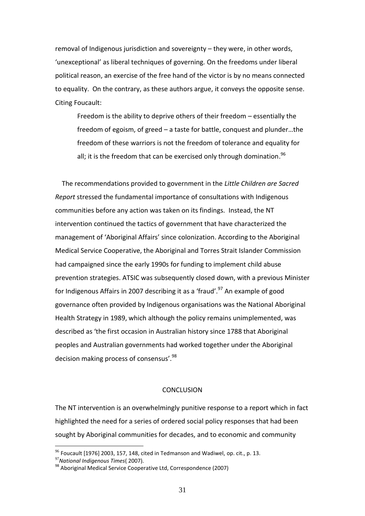removal of Indigenous jurisdiction and sovereignty – they were, in other words, 'unexceptional' as liberal techniques of governing. On the freedoms under liberal political reason, an exercise of the free hand of the victor is by no means connected to equality. On the contrary, as these authors argue, it conveys the opposite sense. Citing Foucault:

Freedom is the ability to deprive others of their freedom – essentially the freedom of egoism, of greed – a taste for battle, conquest and plunder…the freedom of these warriors is not the freedom of tolerance and equality for all; it is the freedom that can be exercised only through domination.<sup>96</sup>

 The recommendations provided to government in the *Little Children are Sacred Report* stressed the fundamental importance of consultations with Indigenous communities before any action was taken on its findings. Instead, the NT intervention continued the tactics of government that have characterized the management of 'Aboriginal Affairs' since colonization. According to the Aboriginal Medical Service Cooperative, the Aboriginal and Torres Strait Islander Commission had campaigned since the early 1990s for funding to implement child abuse prevention strategies. ATSIC was subsequently closed down, with a previous Minister for Indigenous Affairs in 2007 describing it as a 'fraud'. $97$  An example of good governance often provided by Indigenous organisations was the National Aboriginal Health Strategy in 1989, which although the policy remains unimplemented, was described as 'the first occasion in Australian history since 1788 that Aboriginal peoples and Australian governments had worked together under the Aboriginal decision making process of consensus'.<sup>98</sup>

#### **CONCLUSION**

The NT intervention is an overwhelmingly punitive response to a report which in fact highlighted the need for a series of ordered social policy responses that had been sought by Aboriginal communities for decades, and to economic and community

 $96$  Foucault [1976] 2003, 157, 148, cited in Tedmanson and Wadiwel, op. cit., p. 13.

<sup>97</sup>*National Indigenous Times*( 2007).

<sup>98</sup> Aboriginal Medical Service Cooperative Ltd, Correspondence (2007)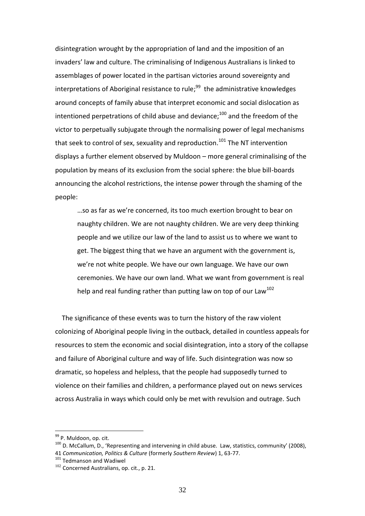disintegration wrought by the appropriation of land and the imposition of an invaders' law and culture. The criminalising of Indigenous Australians is linked to assemblages of power located in the partisan victories around sovereignty and interpretations of Aboriginal resistance to rule;<sup>99</sup> the administrative knowledges around concepts of family abuse that interpret economic and social dislocation as intentioned perpetrations of child abuse and deviance; $100$  and the freedom of the victor to perpetually subjugate through the normalising power of legal mechanisms that seek to control of sex, sexuality and reproduction.<sup>101</sup> The NT intervention displays a further element observed by Muldoon – more general criminalising of the population by means of its exclusion from the social sphere: the blue bill-boards announcing the alcohol restrictions, the intense power through the shaming of the people:

…so as far as we're concerned, its too much exertion brought to bear on naughty children. We are not naughty children. We are very deep thinking people and we utilize our law of the land to assist us to where we want to get. The biggest thing that we have an argument with the government is, we're not white people. We have our own language. We have our own ceremonies. We have our own land. What we want from government is real help and real funding rather than putting law on top of our Law<sup>102</sup>

 The significance of these events was to turn the history of the raw violent colonizing of Aboriginal people living in the outback, detailed in countless appeals for resources to stem the economic and social disintegration, into a story of the collapse and failure of Aboriginal culture and way of life. Such disintegration was now so dramatic, so hopeless and helpless, that the people had supposedly turned to violence on their families and children, a performance played out on news services across Australia in ways which could only be met with revulsion and outrage. Such

<sup>99</sup> P. Muldoon, op. cit.

<sup>&</sup>lt;sup>100</sup> D. McCallum, D., 'Representing and intervening in child abuse. Law, statistics, community' (2008), 41 *Communication, Politics & Culture* (formerly *Southern Review*) 1, 63-77.

<sup>&</sup>lt;sup>101</sup> Tedmanson and Wadiwel

<sup>&</sup>lt;sup>102</sup> Concerned Australians, op. cit., p. 21.